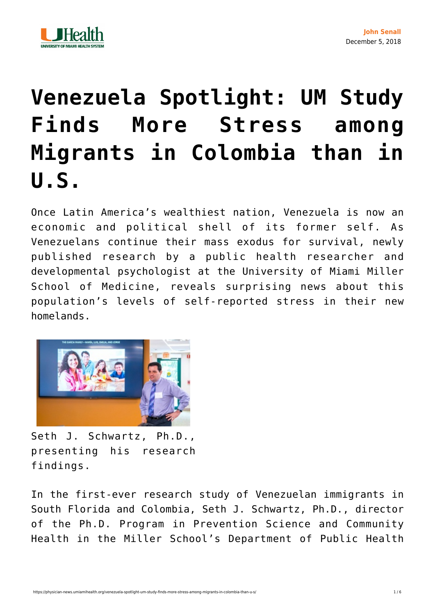



## **[Venezuela Spotlight: UM Study](https://physician-news.umiamihealth.org/venezuela-spotlight-um-study-finds-more-stress-among-migrants-in-colombia-than-u-s/) [Finds More Stress among](https://physician-news.umiamihealth.org/venezuela-spotlight-um-study-finds-more-stress-among-migrants-in-colombia-than-u-s/) [Migrants in Colombia than in](https://physician-news.umiamihealth.org/venezuela-spotlight-um-study-finds-more-stress-among-migrants-in-colombia-than-u-s/) [U.S.](https://physician-news.umiamihealth.org/venezuela-spotlight-um-study-finds-more-stress-among-migrants-in-colombia-than-u-s/)**

Once Latin America's wealthiest nation, Venezuela is now an economic and political shell of its former self. As Venezuelans continue their mass exodus for survival, newly published research by a public health researcher and developmental psychologist at the University of Miami Miller School of Medicine, reveals surprising news about this population's levels of self-reported stress in their new homelands.



Seth J. Schwartz, Ph.D., presenting his research findings.

In the first-ever research study of Venezuelan immigrants in South Florida and Colombia, Seth J. Schwartz, Ph.D., director of the Ph.D. Program in Prevention Science and Community Health in the Miller School's Department of Public Health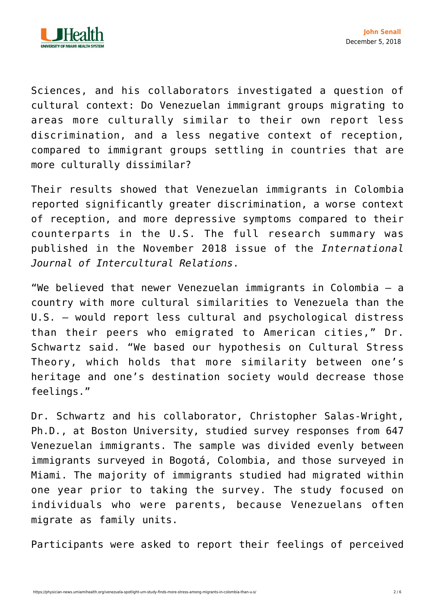

Sciences, and his collaborators investigated a question of cultural context: Do Venezuelan immigrant groups migrating to areas more culturally similar to their own report less discrimination, and a less negative context of reception, compared to immigrant groups settling in countries that are more culturally dissimilar?

Their results showed that Venezuelan immigrants in Colombia reported significantly greater discrimination, a worse context of reception, and more depressive symptoms compared to their counterparts in the U.S. The full research summary was [published](https://www.sciencedirect.com/science/article/pii/S0147176718300907) in the November 2018 issue of the *International Journal of Intercultural Relations*.

"We believed that newer Venezuelan immigrants in Colombia — a country with more cultural similarities to Venezuela than the U.S. — would report less cultural and psychological distress than their peers who emigrated to American cities," Dr. Schwartz said. "We based our hypothesis on Cultural Stress Theory, which holds that more similarity between one's heritage and one's destination society would decrease those feelings."

Dr. Schwartz and his collaborator, Christopher Salas-Wright, Ph.D., at Boston University, studied survey responses from 647 Venezuelan immigrants. The sample was divided evenly between immigrants surveyed in Bogotá, Colombia, and those surveyed in Miami. The majority of immigrants studied had migrated within one year prior to taking the survey. The study focused on individuals who were parents, because Venezuelans often migrate as family units.

Participants were asked to report their feelings of perceived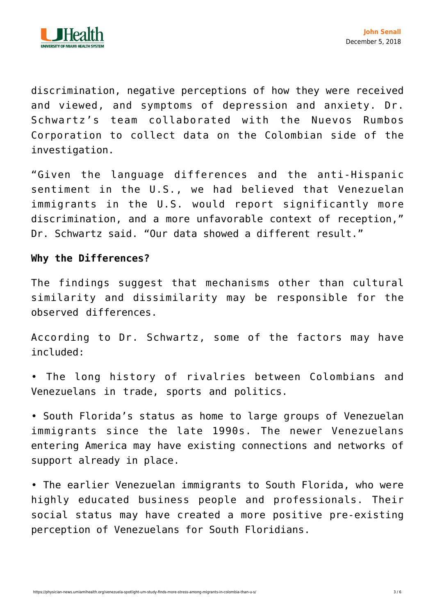

discrimination, negative perceptions of how they were received and viewed, and symptoms of depression and anxiety. Dr. Schwartz's team collaborated with the Nuevos Rumbos Corporation to collect data on the Colombian side of the investigation.

"Given the language differences and the anti-Hispanic sentiment in the U.S., we had believed that Venezuelan immigrants in the U.S. would report significantly more discrimination, and a more unfavorable context of reception," Dr. Schwartz said. "Our data showed a different result."

## **Why the Differences?**

The findings suggest that mechanisms other than cultural similarity and dissimilarity may be responsible for the observed differences.

According to Dr. Schwartz, some of the factors may have included:

• The long history of rivalries between Colombians and Venezuelans in trade, sports and politics.

• South Florida's status as home to large groups of Venezuelan immigrants since the late 1990s. The newer Venezuelans entering America may have existing connections and networks of support already in place.

• The earlier Venezuelan immigrants to South Florida, who were highly educated business people and professionals. Their social status may have created a more positive pre-existing perception of Venezuelans for South Floridians.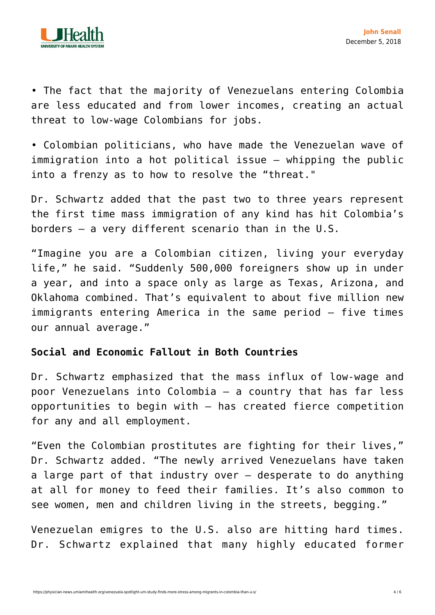

• The fact that the majority of Venezuelans entering Colombia are less educated and from lower incomes, creating an actual threat to low-wage Colombians for jobs.

• Colombian politicians, who have made the Venezuelan wave of immigration into a hot political issue — whipping the public into a frenzy as to how to resolve the "threat."

Dr. Schwartz added that the past two to three years represent the first time mass immigration of any kind has hit Colombia's borders — a very different scenario than in the U.S.

"Imagine you are a Colombian citizen, living your everyday life," he said. "Suddenly 500,000 foreigners show up in under a year, and into a space only as large as Texas, Arizona, and Oklahoma combined. That's equivalent to about five million new immigrants entering America in the same period — five times our annual average."

## **Social and Economic Fallout in Both Countries**

Dr. Schwartz emphasized that the mass influx of low-wage and poor Venezuelans into Colombia — a country that has far less opportunities to begin with — has created fierce competition for any and all employment.

"Even the Colombian prostitutes are fighting for their lives," Dr. Schwartz added. "The newly arrived Venezuelans have taken a large part of that industry over — desperate to do anything at all for money to feed their families. It's also common to see women, men and children living in the streets, begging."

Venezuelan emigres to the U.S. also are hitting hard times. Dr. Schwartz explained that many highly educated former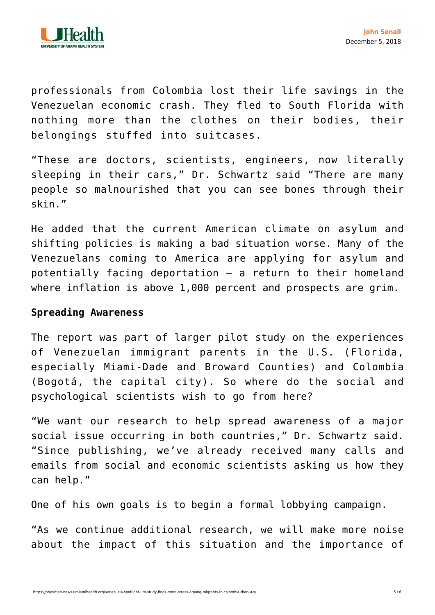

professionals from Colombia lost their life savings in the Venezuelan economic crash. They fled to South Florida with nothing more than the clothes on their bodies, their belongings stuffed into suitcases.

"These are doctors, scientists, engineers, now literally sleeping in their cars," Dr. Schwartz said "There are many people so malnourished that you can see bones through their skin."

He added that the current American climate on asylum and shifting policies is making a bad situation worse. Many of the Venezuelans coming to America are applying for asylum and potentially facing deportation — a return to their homeland where inflation is above 1,000 percent and prospects are grim.

## **Spreading Awareness**

The report was part of larger pilot study on the experiences of Venezuelan immigrant parents in the U.S. (Florida, especially Miami-Dade and Broward Counties) and Colombia (Bogotá, the capital city). So where do the social and psychological scientists wish to go from here?

"We want our research to help spread awareness of a major social issue occurring in both countries," Dr. Schwartz said. "Since publishing, we've already received many calls and emails from social and economic scientists asking us how they can help."

One of his own goals is to begin a formal lobbying campaign.

"As we continue additional research, we will make more noise about the impact of this situation and the importance of